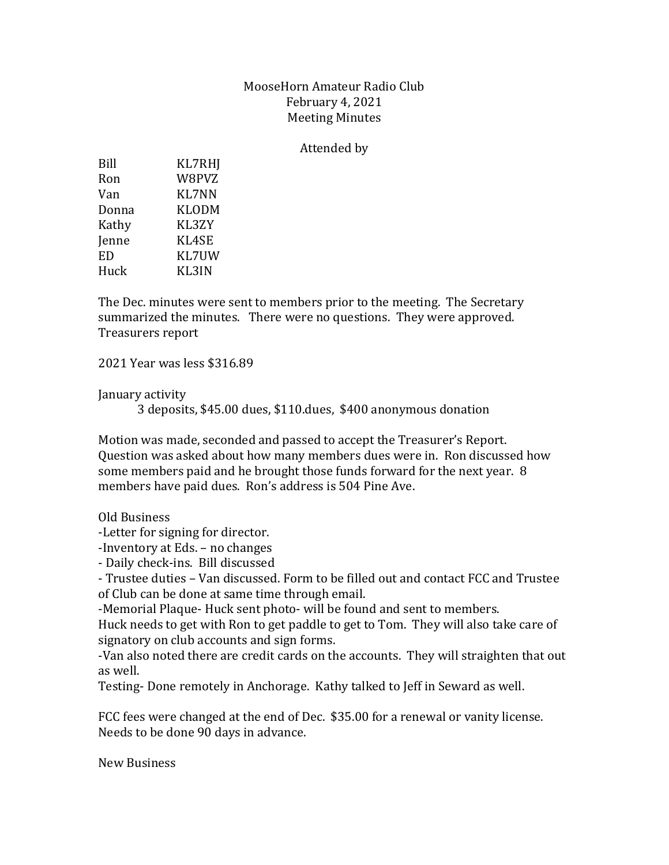## MooseHorn Amateur Radio Club February 4, 2021 Meeting Minutes

## Attended by

| Bill         | <b>KL7RHJ</b> |
|--------------|---------------|
| Ron          | W8PVZ         |
| Van          | KL7NN         |
| Donna        | <b>KLODM</b>  |
| Kathy        | KL3ZY         |
| <b>Jenne</b> | KL4SE         |
| ED           | KL7UW         |
| Huck         | KL3IN         |

The Dec. minutes were sent to members prior to the meeting. The Secretary summarized the minutes. There were no questions. They were approved. Treasurers report

2021 Year was less \$316.89

January activity

3 deposits, \$45.00 dues, \$110.dues, \$400 anonymous donation

Motion was made, seconded and passed to accept the Treasurer's Report. Question was asked about how many members dues were in. Ron discussed how some members paid and he brought those funds forward for the next year. 8 members have paid dues. Ron's address is 504 Pine Ave.

Old Business

-Letter for signing for director.

-Inventory at Eds. – no changes

- Daily check-ins. Bill discussed

- Trustee duties – Van discussed. Form to be filled out and contact FCC and Trustee of Club can be done at same time through email.

-Memorial Plaque- Huck sent photo- will be found and sent to members.

Huck needs to get with Ron to get paddle to get to Tom. They will also take care of signatory on club accounts and sign forms.

-Van also noted there are credit cards on the accounts. They will straighten that out as well.

Testing- Done remotely in Anchorage. Kathy talked to Jeff in Seward as well.

FCC fees were changed at the end of Dec. \$35.00 for a renewal or vanity license. Needs to be done 90 days in advance.

New Business